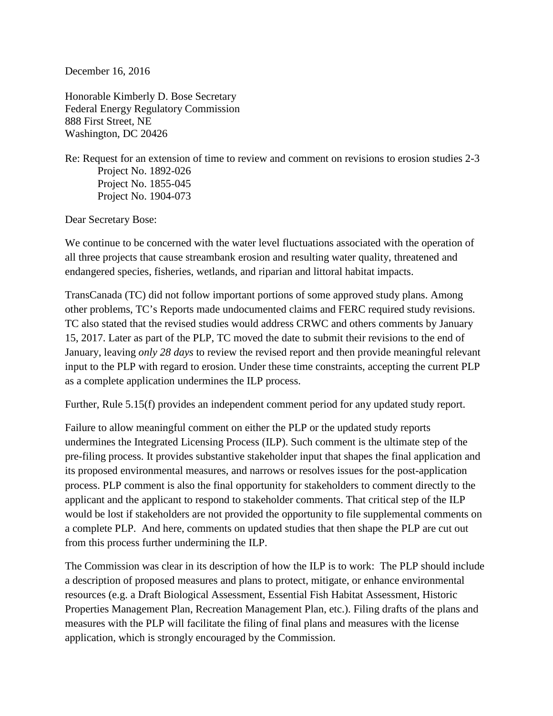December 16, 2016

Honorable Kimberly D. Bose Secretary Federal Energy Regulatory Commission 888 First Street, NE Washington, DC 20426

Re: Request for an extension of time to review and comment on revisions to erosion studies 2-3 Project No. 1892-026 Project No. 1855-045 Project No. 1904-073

Dear Secretary Bose:

We continue to be concerned with the water level fluctuations associated with the operation of all three projects that cause streambank erosion and resulting water quality, threatened and endangered species, fisheries, wetlands, and riparian and littoral habitat impacts.

TransCanada (TC) did not follow important portions of some approved study plans. Among other problems, TC's Reports made undocumented claims and FERC required study revisions. TC also stated that the revised studies would address CRWC and others comments by January 15, 2017. Later as part of the PLP, TC moved the date to submit their revisions to the end of January, leaving *only 28 days* to review the revised report and then provide meaningful relevant input to the PLP with regard to erosion. Under these time constraints, accepting the current PLP as a complete application undermines the ILP process.

Further, Rule 5.15(f) provides an independent comment period for any updated study report.

Failure to allow meaningful comment on either the PLP or the updated study reports undermines the Integrated Licensing Process (ILP). Such comment is the ultimate step of the pre-filing process. It provides substantive stakeholder input that shapes the final application and its proposed environmental measures, and narrows or resolves issues for the post-application process. PLP comment is also the final opportunity for stakeholders to comment directly to the applicant and the applicant to respond to stakeholder comments. That critical step of the ILP would be lost if stakeholders are not provided the opportunity to file supplemental comments on a complete PLP. And here, comments on updated studies that then shape the PLP are cut out from this process further undermining the ILP.

The Commission was clear in its description of how the ILP is to work: The PLP should include a description of proposed measures and plans to protect, mitigate, or enhance environmental resources (e.g. a Draft Biological Assessment, Essential Fish Habitat Assessment, Historic Properties Management Plan, Recreation Management Plan, etc.). Filing drafts of the plans and measures with the PLP will facilitate the filing of final plans and measures with the license application, which is strongly encouraged by the Commission.